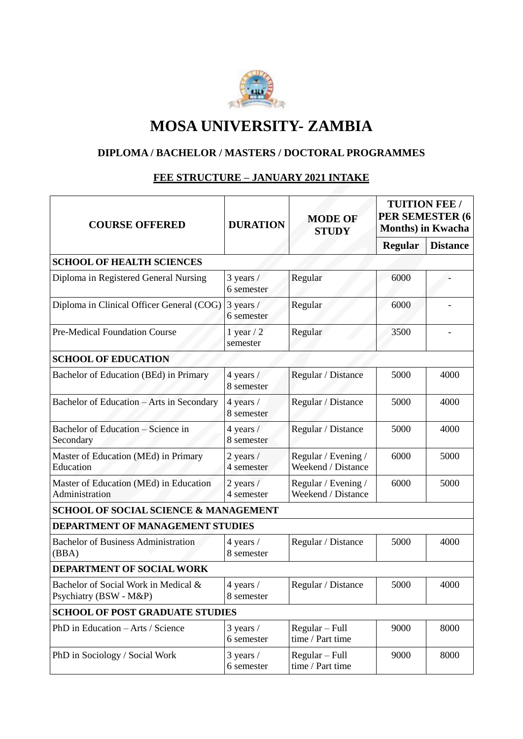

# **MOSA UNIVERSITY- ZAMBIA**

### **DIPLOMA / BACHELOR / MASTERS / DOCTORAL PROGRAMMES**

#### **FEE STRUCTURE – JANUARY 2021 INTAKE**

| <b>COURSE OFFERED</b>                                          | <b>DURATION</b>             | <b>MODE OF</b><br><b>STUDY</b>            | <b>TUITION FEE /</b><br>PER SEMESTER (6<br><b>Months</b> ) in Kwacha |                 |
|----------------------------------------------------------------|-----------------------------|-------------------------------------------|----------------------------------------------------------------------|-----------------|
|                                                                |                             |                                           | <b>Regular</b>                                                       | <b>Distance</b> |
| <b>SCHOOL OF HEALTH SCIENCES</b>                               |                             |                                           |                                                                      |                 |
| Diploma in Registered General Nursing                          | 3 years /<br>6 semester     | Regular                                   |                                                                      |                 |
| Diploma in Clinical Officer General (COG)                      | $3$ years $/$<br>6 semester | Regular                                   | 6000                                                                 |                 |
| Pre-Medical Foundation Course                                  | 1 year $/2$<br>semester     | Regular                                   | 3500                                                                 |                 |
| <b>SCHOOL OF EDUCATION</b>                                     |                             |                                           |                                                                      |                 |
| Bachelor of Education (BEd) in Primary                         | 4 years /<br>8 semester     | Regular / Distance                        | 5000                                                                 | 4000            |
| Bachelor of Education - Arts in Secondary                      | 4 years /<br>8 semester     | Regular / Distance                        | 5000                                                                 | 4000            |
| Bachelor of Education - Science in<br>Secondary                | 4 years /<br>8 semester     | Regular / Distance                        | 5000                                                                 | 4000            |
| Master of Education (MEd) in Primary<br>Education              | 2 years /<br>4 semester     | Regular / Evening /<br>Weekend / Distance | 6000                                                                 | 5000            |
| Master of Education (MEd) in Education<br>Administration       | 2 years /<br>4 semester     | Regular / Evening /<br>Weekend / Distance | 6000                                                                 | 5000            |
| <b>SCHOOL OF SOCIAL SCIENCE &amp; MANAGEMENT</b>               |                             |                                           |                                                                      |                 |
| DEPARTMENT OF MANAGEMENT STUDIES                               |                             |                                           |                                                                      |                 |
| <b>Bachelor of Business Administration</b><br>(BBA)            | 4 years /<br>8 semester     | Regular / Distance                        | 5000                                                                 | 4000            |
| DEPARTMENT OF SOCIAL WORK                                      |                             |                                           |                                                                      |                 |
| Bachelor of Social Work in Medical &<br>Psychiatry (BSW - M&P) | 4 years /<br>8 semester     | Regular / Distance                        | 5000                                                                 | 4000            |
| <b>SCHOOL OF POST GRADUATE STUDIES</b>                         |                             |                                           |                                                                      |                 |
| PhD in Education - Arts / Science                              | $3$ years $/$<br>6 semester | $Regular - Full$<br>time / Part time      | 9000                                                                 | 8000            |
| PhD in Sociology / Social Work                                 | 3 years /<br>6 semester     | $Regular - Full$<br>time / Part time      | 9000                                                                 | 8000            |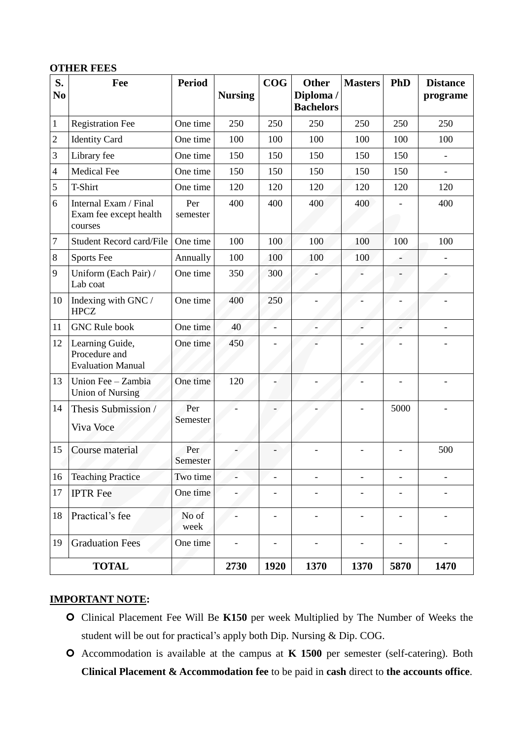#### **OTHER FEES**

| S.             | Fee                                                          | <b>Period</b>   |                | COG               | <b>Other</b>                  | <b>Masters</b>           | PhD                      | <b>Distance</b>          |
|----------------|--------------------------------------------------------------|-----------------|----------------|-------------------|-------------------------------|--------------------------|--------------------------|--------------------------|
| N <sub>0</sub> |                                                              |                 | <b>Nursing</b> |                   | Diploma /<br><b>Bachelors</b> |                          |                          | programe                 |
| 1              | <b>Registration Fee</b>                                      | One time        | 250            | 250               | 250                           | 250                      | 250                      | 250                      |
| $\mathbf{2}$   | <b>Identity Card</b>                                         | One time        | 100            | 100               | 100                           | 100                      | 100                      | 100                      |
| 3              | Library fee                                                  | One time        | 150            | 150               | 150                           | 150                      | 150                      |                          |
| $\overline{4}$ | <b>Medical Fee</b>                                           | One time        | 150            | 150               | 150                           | 150                      | 150                      | $\overline{\phantom{a}}$ |
| 5              | T-Shirt                                                      | One time        | 120            | 120               | 120                           | 120                      | 120                      | 120                      |
| 6              | Internal Exam / Final<br>Exam fee except health<br>courses   | Per<br>semester | 400            | 400               | 400                           | 400                      |                          | 400                      |
| 7              | <b>Student Record card/File</b>                              | One time        | 100            | 100               | 100                           | 100                      | 100                      | 100                      |
| 8              | Sports Fee                                                   | Annually        | 100            | 100               | 100                           | 100                      |                          |                          |
| 9              | Uniform (Each Pair) /<br>Lab coat                            | One time        | 350            | 300               |                               |                          |                          |                          |
| 10             | Indexing with GNC /<br><b>HPCZ</b>                           | One time        | 400            | 250               |                               |                          |                          |                          |
| 11             | <b>GNC Rule book</b>                                         | One time        | 40             | $\overline{a}$    |                               |                          |                          |                          |
| 12             | Learning Guide,<br>Procedure and<br><b>Evaluation Manual</b> | One time        | 450            |                   |                               |                          |                          |                          |
| 13             | Union Fee - Zambia<br><b>Union of Nursing</b>                | One time        | 120            |                   |                               |                          |                          |                          |
| 14             | Thesis Submission /<br>Viva Voce                             | Per<br>Semester |                |                   |                               |                          | 5000                     |                          |
| 15             | Course material                                              | Per<br>Semester |                |                   |                               |                          |                          | 500                      |
| 16             | <b>Teaching Practice</b>                                     | Two time        |                | $\qquad \qquad -$ | $\overline{\phantom{0}}$      | $\overline{\phantom{0}}$ | $\overline{\phantom{a}}$ |                          |
| 17             | <b>IPTR</b> Fee                                              | One time        |                |                   |                               |                          | $\overline{\phantom{0}}$ |                          |
| 18             | Practical's fee                                              | No of<br>week   |                |                   |                               |                          |                          |                          |
| 19             | <b>Graduation Fees</b>                                       | One time        |                |                   |                               |                          |                          |                          |
|                | <b>TOTAL</b>                                                 |                 | 2730           | 1920              | 1370                          | 1370                     | 5870                     | 1470                     |

#### **IMPORTANT NOTE:**

- Clinical Placement Fee Will Be **K150** per week Multiplied by The Number of Weeks the student will be out for practical's apply both Dip. Nursing & Dip. COG.
- Accommodation is available at the campus at **K 1500** per semester (self-catering). Both **Clinical Placement & Accommodation fee** to be paid in **cash** direct to **the accounts office**.